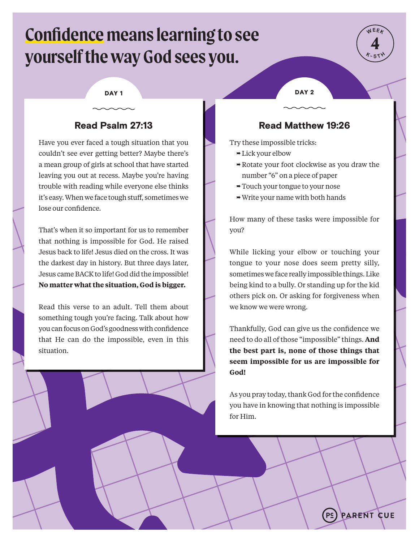# **Confidence means learning to see yourself the way God sees you.**



# Read Psalm 27:13

Have you ever faced a tough situation that you couldn't see ever getting better? Maybe there's a mean group of girls at school that have started leaving you out at recess. Maybe you're having trouble with reading while everyone else thinks it's easy. When we face tough stuff, sometimes we lose our confidence.

That's when it so important for us to remember that nothing is impossible for God. He raised Jesus back to life! Jesus died on the cross. It was the darkest day in history. But three days later, Jesus came BACK to life! God did the impossible! **No matter what the situation, God is bigger.** 

Read this verse to an adult. Tell them about something tough you're facing. Talk about how you can focus on God's goodness with confidence that He can do the impossible, even in this situation.

DAY 1 DAY 2

# Read Matthew 19:26

Try these impossible tricks:

- $\rightarrow$  Lick your elbow
- $\rightarrow$  Rotate your foot clockwise as you draw the number "6" on a piece of paper
- Touch your tongue to your nose
- $\rightarrow$  Write your name with both hands

How many of these tasks were impossible for you?

While licking your elbow or touching your tongue to your nose does seem pretty silly, sometimes we face really impossible things. Like being kind to a bully. Or standing up for the kid others pick on. Or asking for forgiveness when we know we were wrong.

Thankfully, God can give us the confidence we need to do all of those "impossible" things. **And the best part is, none of those things that seem impossible for us are impossible for God!**

As you pray today, thank God for the confidence you have in knowing that nothing is impossible for Him.

 $PE$ 

**PARENT CUE**